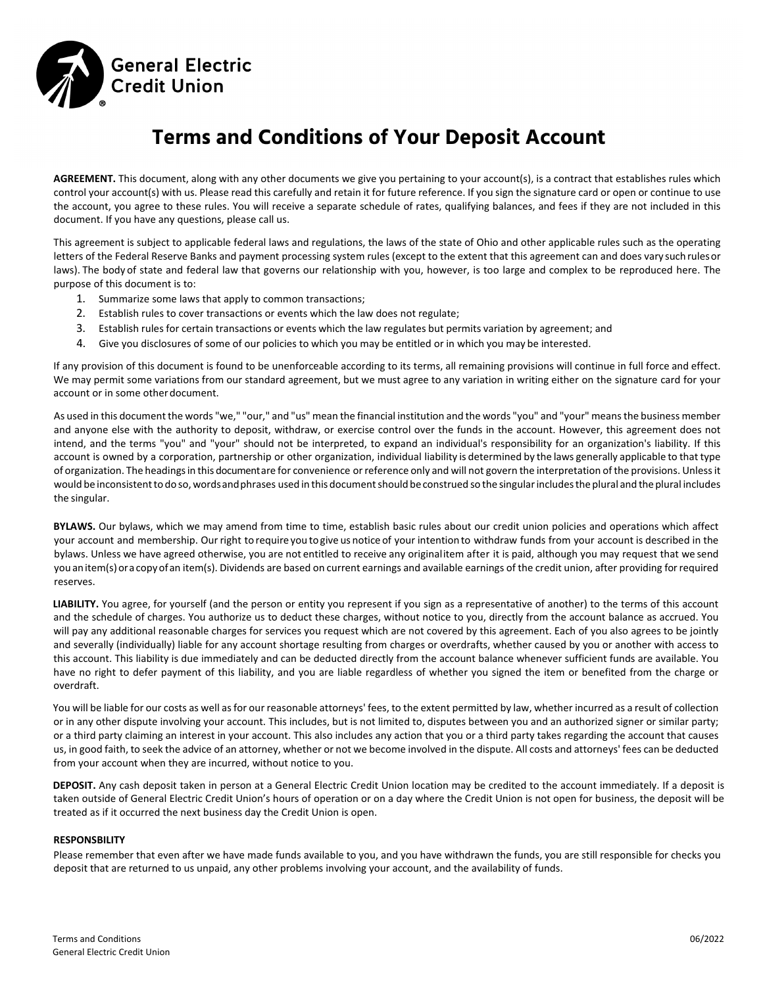

# **Terms and Conditions of Your Deposit Account**

**AGREEMENT.** This document, along with any other documents we give you pertaining to your account(s), is a contract that establishes rules which control your account(s) with us. Please read this carefully and retain it for future reference. If you sign the signature card or open or continue to use the account, you agree to these rules. You will receive a separate schedule of rates, qualifying balances, and fees if they are not included in this document. If you have any questions, please call us.

This agreement is subject to applicable federal laws and regulations, the laws of the state of Ohio and other applicable rules such as the operating letters of the Federal Reserve Banks and payment processing system rules (except to the extent that this agreement can and does vary suchrulesor laws). The body of state and federal law that governs our relationship with you, however, is too large and complex to be reproduced here. The purpose of this document is to:

- 1. Summarize some laws that apply to common transactions;
- 2. Establish rules to cover transactions or events which the law does not regulate;
- 3. Establish rules for certain transactions or events which the law regulates but permits variation by agreement; and
- 4. Give you disclosures of some of our policies to which you may be entitled or in which you may be interested.

If any provision of this document is found to be unenforceable according to its terms, all remaining provisions will continue in full force and effect. We may permit some variations from our standard agreement, but we must agree to any variation in writing either on the signature card for your account or in some other document.

As used in this document the words "we," "our," and "us" mean the financial institution and the words "you" and "your" meansthe business member and anyone else with the authority to deposit, withdraw, or exercise control over the funds in the account. However, this agreement does not intend, and the terms "you" and "your" should not be interpreted, to expand an individual's responsibility for an organization's liability. If this account is owned by a corporation, partnership or other organization, individual liability is determined by the laws generally applicable to that type of organization. The headings in this documentare for convenience or reference only and will not govern the interpretation of the provisions. Unless it would be inconsistent to do so, words and phrases used in this document should be construed so the singular includes the plural and the plural includes the singular.

**BYLAWS.** Our bylaws, which we may amend from time to time, establish basic rules about our credit union policies and operations which affect your account and membership. Our right to require you to give us notice of your intention to withdraw funds from your account is described in the bylaws. Unless we have agreed otherwise, you are not entitled to receive any originalitem after it is paid, although you may request that we send you an item(s) ora copy of an item(s). Dividends are based on current earnings and available earnings of the credit union, after providing for required reserves.

LIABILITY. You agree, for yourself (and the person or entity you represent if you sign as a representative of another) to the terms of this account and the schedule of charges. You authorize us to deduct these charges, without notice to you, directly from the account balance as accrued. You will pay any additional reasonable charges for services you request which are not covered by this agreement. Each of you also agrees to be jointly and severally (individually) liable for any account shortage resulting from charges or overdrafts, whether caused by you or another with access to this account. This liability is due immediately and can be deducted directly from the account balance whenever sufficient funds are available. You have no right to defer payment of this liability, and you are liable regardless of whether you signed the item or benefited from the charge or overdraft.

You will be liable for our costs as well as for our reasonable attorneys' fees, to the extent permitted by law, whether incurred as a result of collection or in any other dispute involving your account. This includes, but is not limited to, disputes between you and an authorized signer or similar party; or a third party claiming an interest in your account. This also includes any action that you or a third party takes regarding the account that causes us, in good faith, to seek the advice of an attorney, whether or not we become involved in the dispute. All costs and attorneys' fees can be deducted from your account when they are incurred, without notice to you.

**DEPOSIT.** Any cash deposit taken in person at a General Electric Credit Union location may be credited to the account immediately. If a deposit is taken outside of General Electric Credit Union's hours of operation or on a day where the Credit Union is not open for business, the deposit will be treated as if it occurred the next business day the Credit Union is open.

#### **RESPONSBILITY**

Please remember that even after we have made funds available to you, and you have withdrawn the funds, you are still responsible for checks you deposit that are returned to us unpaid, any other problems involving your account, and the availability of funds.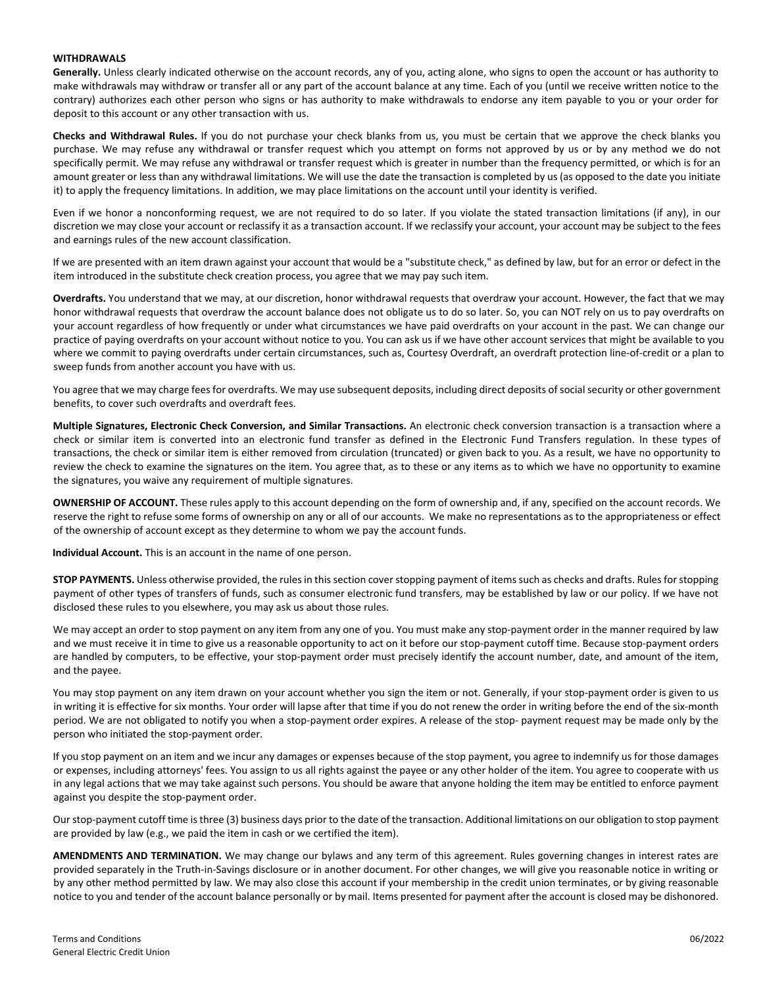#### **WITHDRAWALS**

**Generally.** Unless clearly indicated otherwise on the account records, any of you, acting alone, who signs to open the account or has authority to make withdrawals may withdraw or transfer all or any part of the account balance at any time. Each of you (until we receive written notice to the contrary) authorizes each other person who signs or has authority to make withdrawals to endorse any item payable to you or your order for deposit to this account or any other transaction with us.

**Checks and Withdrawal Rules.** If you do not purchase your check blanks from us, you must be certain that we approve the check blanks you purchase. We may refuse any withdrawal or transfer request which you attempt on forms not approved by us or by any method we do not specifically permit. We may refuse any withdrawal or transfer request which is greater in number than the frequency permitted, or which is for an amount greater or less than any withdrawal limitations. We will use the date the transaction is completed by us (as opposed to the date you initiate it) to apply the frequency limitations. In addition, we may place limitations on the account until your identity is verified.

Even if we honor a nonconforming request, we are not required to do so later. If you violate the stated transaction limitations (if any), in our discretion we may close your account or reclassify it as a transaction account. If we reclassify your account, your account may be subject to the fees and earnings rules of the new account classification.

If we are presented with an item drawn against your account that would be a "substitute check," as defined by law, but for an error or defect in the item introduced in the substitute check creation process, you agree that we may pay such item.

**Overdrafts.** You understand that we may, at our discretion, honor withdrawal requests that overdraw your account. However, the fact that we may honor withdrawal requests that overdraw the account balance does not obligate us to do so later. So, you can NOT rely on us to pay overdrafts on your account regardless of how frequently or under what circumstances we have paid overdrafts on your account in the past. We can change our practice of paying overdrafts on your account without notice to you. You can ask us if we have other account services that might be available to you where we commit to paying overdrafts under certain circumstances, such as, Courtesy Overdraft, an overdraft protection line‐of‐credit or a plan to sweep funds from another account you have with us.

You agree that we may charge fees for overdrafts. We may use subsequent deposits, including direct deposits of social security or other government benefits, to cover such overdrafts and overdraft fees.

**Multiple Signatures, Electronic Check Conversion, and Similar Transactions.** An electronic check conversion transaction is a transaction where a check or similar item is converted into an electronic fund transfer as defined in the Electronic Fund Transfers regulation. In these types of transactions, the check or similar item is either removed from circulation (truncated) or given back to you. As a result, we have no opportunity to review the check to examine the signatures on the item. You agree that, as to these or any items as to which we have no opportunity to examine the signatures, you waive any requirement of multiple signatures.

**OWNERSHIP OF ACCOUNT.** These rules apply to this account depending on the form of ownership and, if any, specified on the account records. We reserve the right to refuse some forms of ownership on any or all of our accounts. We make no representations as to the appropriateness or effect of the ownership of account except as they determine to whom we pay the account funds.

**Individual Account.** This is an account in the name of one person.

**STOP PAYMENTS.** Unless otherwise provided, the rules in this section cover stopping payment of items such as checks and drafts. Rules for stopping payment of other types of transfers of funds, such as consumer electronic fund transfers, may be established by law or our policy. If we have not disclosed these rules to you elsewhere, you may ask us about those rules.

We may accept an order to stop payment on any item from any one of you. You must make any stop‐payment order in the manner required by law and we must receive it in time to give us a reasonable opportunity to act on it before our stop-payment cutoff time. Because stop-payment orders are handled by computers, to be effective, your stop-payment order must precisely identify the account number, date, and amount of the item, and the payee.

You may stop payment on any item drawn on your account whether you sign the item or not. Generally, if your stop-payment order is given to us in writing it is effective for six months. Your order will lapse after that time if you do not renew the order in writing before the end of the six-month period. We are not obligated to notify you when a stop-payment order expires. A release of the stop- payment request may be made only by the person who initiated the stop‐payment order.

If you stop payment on an item and we incur any damages or expenses because of the stop payment, you agree to indemnify us for those damages or expenses, including attorneys' fees. You assign to us all rights against the payee or any other holder of the item. You agree to cooperate with us in any legal actions that we may take against such persons. You should be aware that anyone holding the item may be entitled to enforce payment against you despite the stop‐payment order.

Our stop-payment cutoff time is three (3) business days prior to the date of the transaction. Additional limitations on our obligation to stop payment are provided by law (e.g., we paid the item in cash or we certified the item).

**AMENDMENTS AND TERMINATION.** We may change our bylaws and any term of this agreement. Rules governing changes in interest rates are provided separately in the Truth‐in‐Savings disclosure or in another document. For other changes, we will give you reasonable notice in writing or by any other method permitted by law. We may also close this account if your membership in the credit union terminates, or by giving reasonable notice to you and tender of the account balance personally or by mail. Items presented for payment after the account is closed may be dishonored.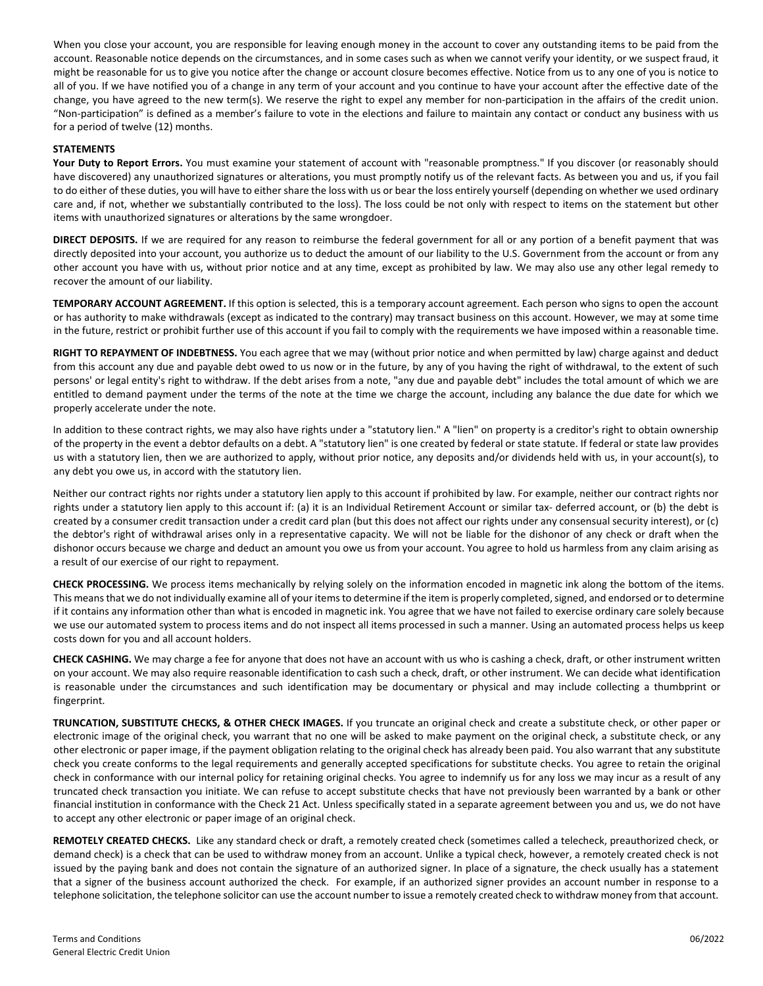When you close your account, you are responsible for leaving enough money in the account to cover any outstanding items to be paid from the account. Reasonable notice depends on the circumstances, and in some cases such as when we cannot verify your identity, or we suspect fraud, it might be reasonable for us to give you notice after the change or account closure becomes effective. Notice from us to any one of you is notice to all of you. If we have notified you of a change in any term of your account and you continue to have your account after the effective date of the change, you have agreed to the new term(s). We reserve the right to expel any member for non-participation in the affairs of the credit union. "Non‐participation" is defined as a member's failure to vote in the elections and failure to maintain any contact or conduct any business with us for a period of twelve (12) months.

#### **STATEMENTS**

**Your Duty to Report Errors.** You must examine your statement of account with "reasonable promptness." If you discover (or reasonably should have discovered) any unauthorized signatures or alterations, you must promptly notify us of the relevant facts. As between you and us, if you fail to do either of these duties, you will have to either share the loss with us or bear the loss entirely yourself (depending on whether we used ordinary care and, if not, whether we substantially contributed to the loss). The loss could be not only with respect to items on the statement but other items with unauthorized signatures or alterations by the same wrongdoer.

**DIRECT DEPOSITS.** If we are required for any reason to reimburse the federal government for all or any portion of a benefit payment that was directly deposited into your account, you authorize us to deduct the amount of our liability to the U.S. Government from the account or from any other account you have with us, without prior notice and at any time, except as prohibited by law. We may also use any other legal remedy to recover the amount of our liability.

**TEMPORARY ACCOUNT AGREEMENT.** If this option is selected, this is a temporary account agreement. Each person who signs to open the account or has authority to make withdrawals (except as indicated to the contrary) may transact business on this account. However, we may at some time in the future, restrict or prohibit further use of this account if you fail to comply with the requirements we have imposed within a reasonable time.

**RIGHT TO REPAYMENT OF INDEBTNESS.** You each agree that we may (without prior notice and when permitted by law) charge against and deduct from this account any due and payable debt owed to us now or in the future, by any of you having the right of withdrawal, to the extent of such persons' or legal entity's right to withdraw. If the debt arises from a note, "any due and payable debt" includes the total amount of which we are entitled to demand payment under the terms of the note at the time we charge the account, including any balance the due date for which we properly accelerate under the note.

In addition to these contract rights, we may also have rights under a "statutory lien." A "lien" on property is a creditor's right to obtain ownership of the property in the event a debtor defaults on a debt. A "statutory lien" is one created by federal or state statute. If federal or state law provides us with a statutory lien, then we are authorized to apply, without prior notice, any deposits and/or dividends held with us, in your account(s), to any debt you owe us, in accord with the statutory lien.

Neither our contract rights nor rights under a statutory lien apply to this account if prohibited by law. For example, neither our contract rights nor rights under a statutory lien apply to this account if: (a) it is an Individual Retirement Account or similar tax- deferred account, or (b) the debt is created by a consumer credit transaction under a credit card plan (but this does not affect our rights under any consensual security interest), or (c) the debtor's right of withdrawal arises only in a representative capacity. We will not be liable for the dishonor of any check or draft when the dishonor occurs because we charge and deduct an amount you owe us from your account. You agree to hold us harmless from any claim arising as a result of our exercise of our right to repayment.

**CHECK PROCESSING.** We process items mechanically by relying solely on the information encoded in magnetic ink along the bottom of the items. This means that we do not individually examine all of your items to determine if the item is properly completed, signed, and endorsed or to determine if it contains any information other than what is encoded in magnetic ink. You agree that we have not failed to exercise ordinary care solely because we use our automated system to process items and do not inspect all items processed in such a manner. Using an automated process helps us keep costs down for you and all account holders.

**CHECK CASHING.** We may charge a fee for anyone that does not have an account with us who is cashing a check, draft, or other instrument written on your account. We may also require reasonable identification to cash such a check, draft, or other instrument. We can decide what identification is reasonable under the circumstances and such identification may be documentary or physical and may include collecting a thumbprint or fingerprint.

**TRUNCATION, SUBSTITUTE CHECKS, & OTHER CHECK IMAGES.** If you truncate an original check and create a substitute check, or other paper or electronic image of the original check, you warrant that no one will be asked to make payment on the original check, a substitute check, or any other electronic or paper image, if the payment obligation relating to the original check has already been paid. You also warrant that any substitute check you create conforms to the legal requirements and generally accepted specifications for substitute checks. You agree to retain the original check in conformance with our internal policy for retaining original checks. You agree to indemnify us for any loss we may incur as a result of any truncated check transaction you initiate. We can refuse to accept substitute checks that have not previously been warranted by a bank or other financial institution in conformance with the Check 21 Act. Unless specifically stated in a separate agreement between you and us, we do not have to accept any other electronic or paper image of an original check.

**REMOTELY CREATED CHECKS.** Like any standard check or draft, a remotely created check (sometimes called a telecheck, preauthorized check, or demand check) is a check that can be used to withdraw money from an account. Unlike a typical check, however, a remotely created check is not issued by the paying bank and does not contain the signature of an authorized signer. In place of a signature, the check usually has a statement that a signer of the business account authorized the check. For example, if an authorized signer provides an account number in response to a telephone solicitation, the telephone solicitor can use the account number to issue a remotely created check to withdraw money from that account.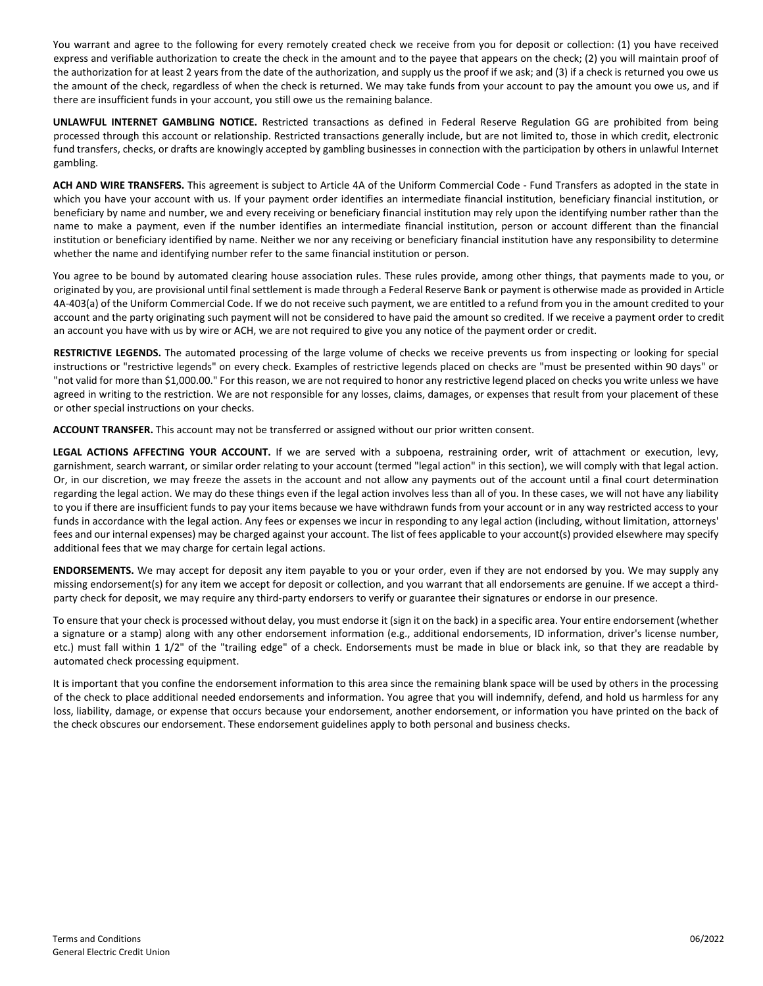You warrant and agree to the following for every remotely created check we receive from you for deposit or collection: (1) you have received express and verifiable authorization to create the check in the amount and to the payee that appears on the check; (2) you will maintain proof of the authorization for at least 2 years from the date of the authorization, and supply us the proof if we ask; and (3) if a check is returned you owe us the amount of the check, regardless of when the check is returned. We may take funds from your account to pay the amount you owe us, and if there are insufficient funds in your account, you still owe us the remaining balance.

**UNLAWFUL INTERNET GAMBLING NOTICE.** Restricted transactions as defined in Federal Reserve Regulation GG are prohibited from being processed through this account or relationship. Restricted transactions generally include, but are not limited to, those in which credit, electronic fund transfers, checks, or drafts are knowingly accepted by gambling businesses in connection with the participation by others in unlawful Internet gambling.

**ACH AND WIRE TRANSFERS.** This agreement is subject to Article 4A of the Uniform Commercial Code ‐ Fund Transfers as adopted in the state in which you have your account with us. If your payment order identifies an intermediate financial institution, beneficiary financial institution, or beneficiary by name and number, we and every receiving or beneficiary financial institution may rely upon the identifying number rather than the name to make a payment, even if the number identifies an intermediate financial institution, person or account different than the financial institution or beneficiary identified by name. Neither we nor any receiving or beneficiary financial institution have any responsibility to determine whether the name and identifying number refer to the same financial institution or person.

You agree to be bound by automated clearing house association rules. These rules provide, among other things, that payments made to you, or originated by you, are provisional until final settlement is made through a Federal Reserve Bank or payment is otherwise made as provided in Article 4A‐403(a) of the Uniform Commercial Code. If we do not receive such payment, we are entitled to a refund from you in the amount credited to your account and the party originating such payment will not be considered to have paid the amount so credited. If we receive a payment order to credit an account you have with us by wire or ACH, we are not required to give you any notice of the payment order or credit.

**RESTRICTIVE LEGENDS.** The automated processing of the large volume of checks we receive prevents us from inspecting or looking for special instructions or "restrictive legends" on every check. Examples of restrictive legends placed on checks are "must be presented within 90 days" or "not valid for more than \$1,000.00." For this reason, we are not required to honor any restrictive legend placed on checks you write unless we have agreed in writing to the restriction. We are not responsible for any losses, claims, damages, or expenses that result from your placement of these or other special instructions on your checks.

**ACCOUNT TRANSFER.** This account may not be transferred or assigned without our prior written consent.

**LEGAL ACTIONS AFFECTING YOUR ACCOUNT.** If we are served with a subpoena, restraining order, writ of attachment or execution, levy, garnishment, search warrant, or similar order relating to your account (termed "legal action" in this section), we will comply with that legal action. Or, in our discretion, we may freeze the assets in the account and not allow any payments out of the account until a final court determination regarding the legal action. We may do these things even if the legal action involves less than all of you. In these cases, we will not have any liability to you if there are insufficient funds to pay your items because we have withdrawn funds from your account or in any way restricted access to your funds in accordance with the legal action. Any fees or expenses we incur in responding to any legal action (including, without limitation, attorneys' fees and our internal expenses) may be charged against your account. The list of fees applicable to your account(s) provided elsewhere may specify additional fees that we may charge for certain legal actions.

**ENDORSEMENTS.** We may accept for deposit any item payable to you or your order, even if they are not endorsed by you. We may supply any missing endorsement(s) for any item we accept for deposit or collection, and you warrant that all endorsements are genuine. If we accept a thirdparty check for deposit, we may require any third-party endorsers to verify or guarantee their signatures or endorse in our presence.

To ensure that your check is processed without delay, you must endorse it (sign it on the back) in a specific area. Your entire endorsement (whether a signature or a stamp) along with any other endorsement information (e.g., additional endorsements, ID information, driver's license number, etc.) must fall within 1 1/2" of the "trailing edge" of a check. Endorsements must be made in blue or black ink, so that they are readable by automated check processing equipment.

It is important that you confine the endorsement information to this area since the remaining blank space will be used by others in the processing of the check to place additional needed endorsements and information. You agree that you will indemnify, defend, and hold us harmless for any loss, liability, damage, or expense that occurs because your endorsement, another endorsement, or information you have printed on the back of the check obscures our endorsement. These endorsement guidelines apply to both personal and business checks.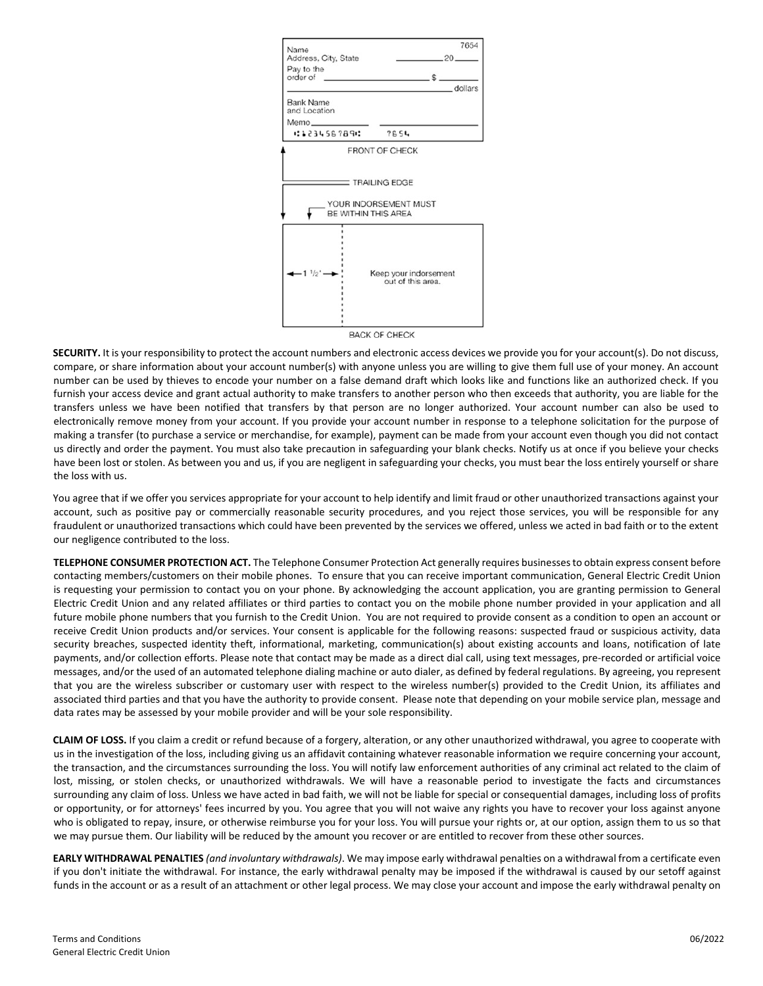

**SECURITY.** It is your responsibility to protect the account numbers and electronic access devices we provide you for your account(s). Do not discuss, compare, or share information about your account number(s) with anyone unless you are willing to give them full use of your money. An account number can be used by thieves to encode your number on a false demand draft which looks like and functions like an authorized check. If you furnish your access device and grant actual authority to make transfers to another person who then exceeds that authority, you are liable for the transfers unless we have been notified that transfers by that person are no longer authorized. Your account number can also be used to electronically remove money from your account. If you provide your account number in response to a telephone solicitation for the purpose of making a transfer (to purchase a service or merchandise, for example), payment can be made from your account even though you did not contact us directly and order the payment. You must also take precaution in safeguarding your blank checks. Notify us at once if you believe your checks have been lost or stolen. As between you and us, if you are negligent in safeguarding your checks, you must bear the loss entirely yourself or share the loss with us.

You agree that if we offer you services appropriate for your account to help identify and limit fraud or other unauthorized transactions against your account, such as positive pay or commercially reasonable security procedures, and you reject those services, you will be responsible for any fraudulent or unauthorized transactions which could have been prevented by the services we offered, unless we acted in bad faith or to the extent our negligence contributed to the loss.

**TELEPHONE CONSUMER PROTECTION ACT.** The Telephone Consumer Protection Act generally requires businesses to obtain express consent before contacting members/customers on their mobile phones. To ensure that you can receive important communication, General Electric Credit Union is requesting your permission to contact you on your phone. By acknowledging the account application, you are granting permission to General Electric Credit Union and any related affiliates or third parties to contact you on the mobile phone number provided in your application and all future mobile phone numbers that you furnish to the Credit Union. You are not required to provide consent as a condition to open an account or receive Credit Union products and/or services. Your consent is applicable for the following reasons: suspected fraud or suspicious activity, data security breaches, suspected identity theft, informational, marketing, communication(s) about existing accounts and loans, notification of late payments, and/or collection efforts. Please note that contact may be made as a direct dial call, using text messages, pre-recorded or artificial voice messages, and/or the used of an automated telephone dialing machine or auto dialer, as defined by federal regulations. By agreeing, you represent that you are the wireless subscriber or customary user with respect to the wireless number(s) provided to the Credit Union, its affiliates and associated third parties and that you have the authority to provide consent. Please note that depending on your mobile service plan, message and data rates may be assessed by your mobile provider and will be your sole responsibility.

**CLAIM OF LOSS.** If you claim a credit or refund because of a forgery, alteration, or any other unauthorized withdrawal, you agree to cooperate with us in the investigation of the loss, including giving us an affidavit containing whatever reasonable information we require concerning your account, the transaction, and the circumstances surrounding the loss. You will notify law enforcement authorities of any criminal act related to the claim of lost, missing, or stolen checks, or unauthorized withdrawals. We will have a reasonable period to investigate the facts and circumstances surrounding any claim of loss. Unless we have acted in bad faith, we will not be liable for special or consequential damages, including loss of profits or opportunity, or for attorneys' fees incurred by you. You agree that you will not waive any rights you have to recover your loss against anyone who is obligated to repay, insure, or otherwise reimburse you for your loss. You will pursue your rights or, at our option, assign them to us so that we may pursue them. Our liability will be reduced by the amount you recover or are entitled to recover from these other sources.

**EARLY WITHDRAWAL PENALTIES** *(and involuntary withdrawals)*. We may impose early withdrawal penalties on a withdrawal from a certificate even if you don't initiate the withdrawal. For instance, the early withdrawal penalty may be imposed if the withdrawal is caused by our setoff against funds in the account or as a result of an attachment or other legal process. We may close your account and impose the early withdrawal penalty on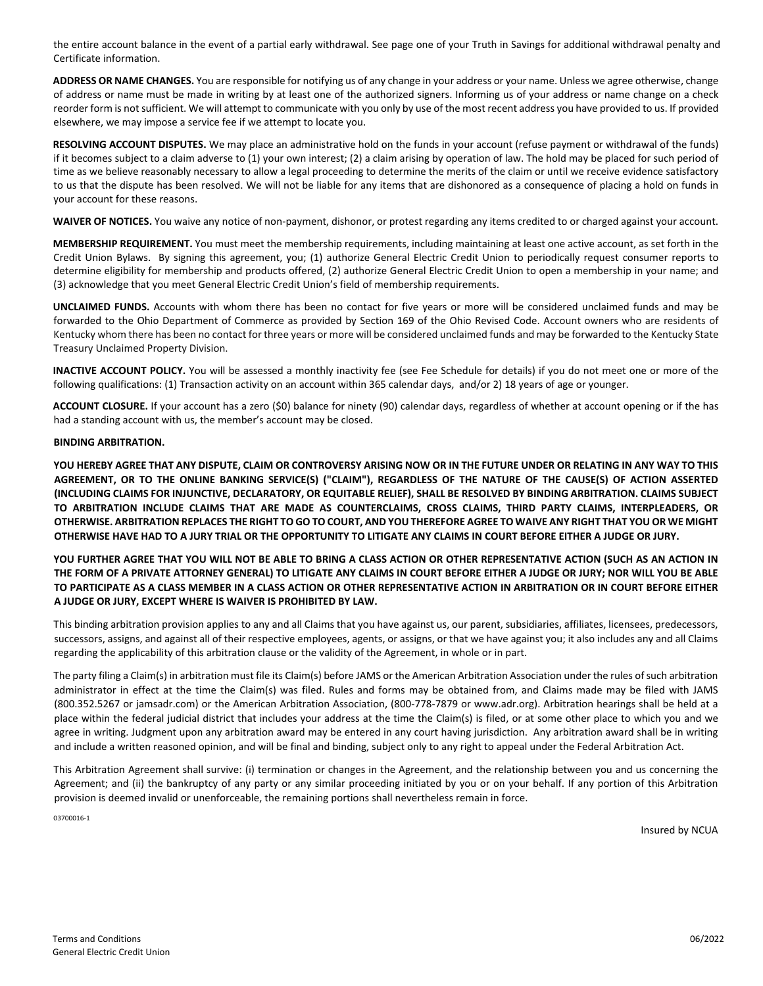the entire account balance in the event of a partial early withdrawal. See page one of your Truth in Savings for additional withdrawal penalty and Certificate information.

**ADDRESS OR NAME CHANGES.** You are responsible for notifying us of any change in your address or your name. Unless we agree otherwise, change of address or name must be made in writing by at least one of the authorized signers. Informing us of your address or name change on a check reorder form is not sufficient. We will attempt to communicate with you only by use of the most recent address you have provided to us. If provided elsewhere, we may impose a service fee if we attempt to locate you.

**RESOLVING ACCOUNT DISPUTES.** We may place an administrative hold on the funds in your account (refuse payment or withdrawal of the funds) if it becomes subject to a claim adverse to (1) your own interest; (2) a claim arising by operation of law. The hold may be placed for such period of time as we believe reasonably necessary to allow a legal proceeding to determine the merits of the claim or until we receive evidence satisfactory to us that the dispute has been resolved. We will not be liable for any items that are dishonored as a consequence of placing a hold on funds in your account for these reasons.

WAIVER OF NOTICES. You waive any notice of non-payment, dishonor, or protest regarding any items credited to or charged against your account.

**MEMBERSHIP REQUIREMENT.** You must meet the membership requirements, including maintaining at least one active account, as set forth in the Credit Union Bylaws. By signing this agreement, you; (1) authorize General Electric Credit Union to periodically request consumer reports to determine eligibility for membership and products offered, (2) authorize General Electric Credit Union to open a membership in your name; and (3) acknowledge that you meet General Electric Credit Union's field of membership requirements.

**UNCLAIMED FUNDS.** Accounts with whom there has been no contact for five years or more will be considered unclaimed funds and may be forwarded to the Ohio Department of Commerce as provided by Section 169 of the Ohio Revised Code. Account owners who are residents of Kentucky whom there has been no contact for three years or more will be considered unclaimed funds and may be forwarded to the Kentucky State Treasury Unclaimed Property Division.

**INACTIVE ACCOUNT POLICY.** You will be assessed a monthly inactivity fee (see Fee Schedule for details) if you do not meet one or more of the following qualifications: (1) Transaction activity on an account within 365 calendar days, and/or 2) 18 years of age or younger.

**ACCOUNT CLOSURE.** If your account has a zero (\$0) balance for ninety (90) calendar days, regardless of whether at account opening or if the has had a standing account with us, the member's account may be closed.

#### **BINDING ARBITRATION.**

**YOU HEREBY AGREE THAT ANY DISPUTE, CLAIM OR CONTROVERSY ARISING NOW OR IN THE FUTURE UNDER OR RELATING IN ANY WAY TO THIS AGREEMENT, OR TO THE ONLINE BANKING SERVICE(S) ("CLAIM"), REGARDLESS OF THE NATURE OF THE CAUSE(S) OF ACTION ASSERTED (INCLUDING CLAIMS FOR INJUNCTIVE, DECLARATORY, OR EQUITABLE RELIEF), SHALL BE RESOLVED BY BINDING ARBITRATION. CLAIMS SUBJECT TO ARBITRATION INCLUDE CLAIMS THAT ARE MADE AS COUNTERCLAIMS, CROSS CLAIMS, THIRD PARTY CLAIMS, INTERPLEADERS, OR OTHERWISE. ARBITRATION REPLACES THE RIGHT TO GO TO COURT, AND YOU THEREFORE AGREE TO WAIVE ANY RIGHT THAT YOU OR WE MIGHT OTHERWISE HAVE HAD TO A JURY TRIAL OR THE OPPORTUNITY TO LITIGATE ANY CLAIMS IN COURT BEFORE EITHER A JUDGE OR JURY.** 

**YOU FURTHER AGREE THAT YOU WILL NOT BE ABLE TO BRING A CLASS ACTION OR OTHER REPRESENTATIVE ACTION (SUCH AS AN ACTION IN THE FORM OF A PRIVATE ATTORNEY GENERAL) TO LITIGATE ANY CLAIMS IN COURT BEFORE EITHER A JUDGE OR JURY; NOR WILL YOU BE ABLE TO PARTICIPATE AS A CLASS MEMBER IN A CLASS ACTION OR OTHER REPRESENTATIVE ACTION IN ARBITRATION OR IN COURT BEFORE EITHER A JUDGE OR JURY, EXCEPT WHERE IS WAIVER IS PROHIBITED BY LAW.** 

This binding arbitration provision applies to any and all Claims that you have against us, our parent, subsidiaries, affiliates, licensees, predecessors, successors, assigns, and against all of their respective employees, agents, or assigns, or that we have against you; it also includes any and all Claims regarding the applicability of this arbitration clause or the validity of the Agreement, in whole or in part.

The party filing a Claim(s) in arbitration must file its Claim(s) before JAMS or the American Arbitration Association under the rules of such arbitration administrator in effect at the time the Claim(s) was filed. Rules and forms may be obtained from, and Claims made may be filed with JAMS (800.352.5267 or jamsadr.com) or the American Arbitration Association, (800-778-7879 or www.adr.org). Arbitration hearings shall be held at a place within the federal judicial district that includes your address at the time the Claim(s) is filed, or at some other place to which you and we agree in writing. Judgment upon any arbitration award may be entered in any court having jurisdiction. Any arbitration award shall be in writing and include a written reasoned opinion, and will be final and binding, subject only to any right to appeal under the Federal Arbitration Act.

This Arbitration Agreement shall survive: (i) termination or changes in the Agreement, and the relationship between you and us concerning the Agreement; and (ii) the bankruptcy of any party or any similar proceeding initiated by you or on your behalf. If any portion of this Arbitration provision is deemed invalid or unenforceable, the remaining portions shall nevertheless remain in force.

03700016-1

Insured by NCUA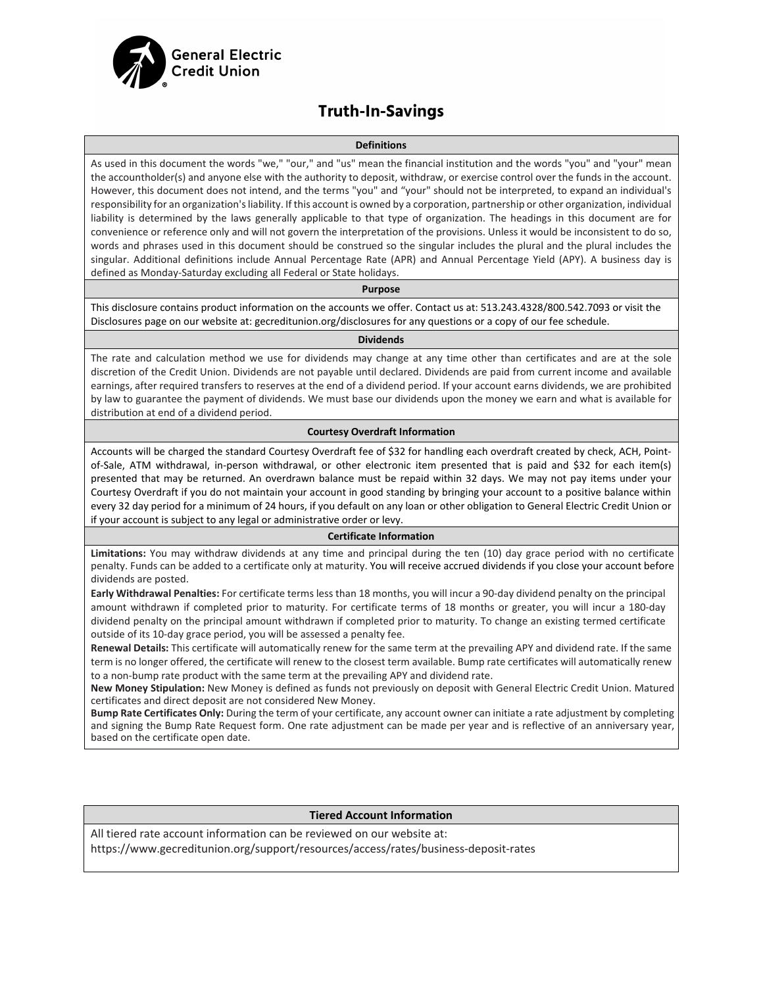

### **Truth-In-Savings**

#### **Definitions**

As used in this document the words "we," "our," and "us" mean the financial institution and the words "you" and "your" mean the accountholder(s) and anyone else with the authority to deposit, withdraw, or exercise control over the funds in the account. However, this document does not intend, and the terms "you" and "your" should not be interpreted, to expand an individual's responsibility for an organization's liability. If this account is owned by a corporation, partnership or other organization, individual liability is determined by the laws generally applicable to that type of organization. The headings in this document are for convenience or reference only and will not govern the interpretation of the provisions. Unless it would be inconsistent to do so, words and phrases used in this document should be construed so the singular includes the plural and the plural includes the singular. Additional definitions include Annual Percentage Rate (APR) and Annual Percentage Yield (APY). A business day is defined as Monday-Saturday excluding all Federal or State holidays.

#### **Purpose**

This disclosure contains product information on the accounts we offer. Contact us at: 513.243.4328/800.542.7093 or visit the Disclosures page on our website at: gecreditunion.org/disclosures for any questions or a copy of our fee schedule.

#### **Dividends**

The rate and calculation method we use for dividends may change at any time other than certificates and are at the sole discretion of the Credit Union. Dividends are not payable until declared. Dividends are paid from current income and available earnings, after required transfers to reserves at the end of a dividend period. If your account earns dividends, we are prohibited by law to guarantee the payment of dividends. We must base our dividends upon the money we earn and what is available for distribution at end of a dividend period.

#### **Courtesy Overdraft Information**

Accounts will be charged the standard Courtesy Overdraft fee of \$32 for handling each overdraft created by check, ACH, Pointof-Sale, ATM withdrawal, in-person withdrawal, or other electronic item presented that is paid and \$32 for each item(s) presented that may be returned. An overdrawn balance must be repaid within 32 days. We may not pay items under your Courtesy Overdraft if you do not maintain your account in good standing by bringing your account to a positive balance within every 32 day period for a minimum of 24 hours, if you default on any loan or other obligation to General Electric Credit Union or if your account is subject to any legal or administrative order or levy.

#### **Certificate Information**

**Limitations:** You may withdraw dividends at any time and principal during the ten (10) day grace period with no certificate penalty. Funds can be added to a certificate only at maturity. You will receive accrued dividends if you close your account before dividends are posted.

**Early Withdrawal Penalties:** For certificate terms less than 18 months, you will incur a 90-day dividend penalty on the principal amount withdrawn if completed prior to maturity. For certificate terms of 18 months or greater, you will incur a 180-day dividend penalty on the principal amount withdrawn if completed prior to maturity. To change an existing termed certificate outside of its 10-day grace period, you will be assessed a penalty fee.

**Renewal Details:** This certificate will automatically renew for the same term at the prevailing APY and dividend rate. If the same term is no longer offered, the certificate will renew to the closest term available. Bump rate certificates will automatically renew to a non-bump rate product with the same term at the prevailing APY and dividend rate.

**New Money Stipulation:** New Money is defined as funds not previously on deposit with General Electric Credit Union. Matured certificates and direct deposit are not considered New Money.

**Bump Rate Certificates Only:** During the term of your certificate, any account owner can initiate a rate adjustment by completing and signing the Bump Rate Request form. One rate adjustment can be made per year and is reflective of an anniversary year, based on the certificate open date.

#### **Tiered Account Information**

All tiered rate account information can be reviewed on our website at: https://www.gecreditunion.org/support/resources/access/rates/business-deposit-rates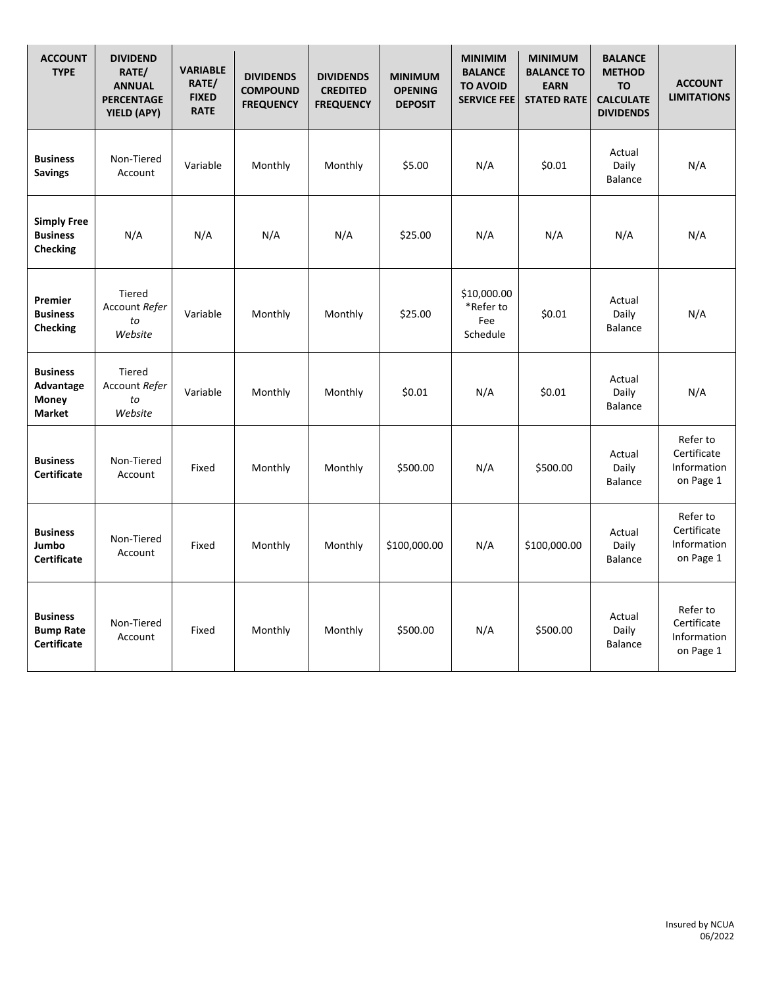| <b>ACCOUNT</b><br><b>TYPE</b>                             | <b>DIVIDEND</b><br>RATE/<br><b>ANNUAL</b><br><b>PERCENTAGE</b><br>YIELD (APY) | <b>VARIABLE</b><br>RATE/<br><b>FIXED</b><br><b>RATE</b> | <b>DIVIDENDS</b><br><b>COMPOUND</b><br><b>FREQUENCY</b> | <b>DIVIDENDS</b><br><b>CREDITED</b><br><b>FREQUENCY</b> | <b>MINIMUM</b><br><b>OPENING</b><br><b>DEPOSIT</b> | <b>MINIMIM</b><br><b>BALANCE</b><br><b>TO AVOID</b><br><b>SERVICE FEE</b> | <b>MINIMUM</b><br><b>BALANCE TO</b><br><b>EARN</b><br><b>STATED RATE</b> | <b>BALANCE</b><br><b>METHOD</b><br><b>TO</b><br><b>CALCULATE</b><br><b>DIVIDENDS</b> | <b>ACCOUNT</b><br><b>LIMITATIONS</b>                |
|-----------------------------------------------------------|-------------------------------------------------------------------------------|---------------------------------------------------------|---------------------------------------------------------|---------------------------------------------------------|----------------------------------------------------|---------------------------------------------------------------------------|--------------------------------------------------------------------------|--------------------------------------------------------------------------------------|-----------------------------------------------------|
| <b>Business</b><br><b>Savings</b>                         | Non-Tiered<br>Account                                                         | Variable                                                | Monthly                                                 | Monthly                                                 | \$5.00                                             | N/A                                                                       | \$0.01                                                                   | Actual<br>Daily<br><b>Balance</b>                                                    | N/A                                                 |
| <b>Simply Free</b><br><b>Business</b><br><b>Checking</b>  | N/A                                                                           | N/A                                                     | N/A                                                     | N/A                                                     | \$25.00                                            | N/A                                                                       | N/A                                                                      | N/A                                                                                  | N/A                                                 |
| Premier<br><b>Business</b><br><b>Checking</b>             | <b>Tiered</b><br>Account Refer<br>to<br>Website                               | Variable                                                | Monthly                                                 | Monthly                                                 | \$25.00                                            | \$10,000.00<br>*Refer to<br>Fee<br>Schedule                               | \$0.01                                                                   | Actual<br>Daily<br><b>Balance</b>                                                    | N/A                                                 |
| <b>Business</b><br>Advantage<br>Money<br><b>Market</b>    | <b>Tiered</b><br>Account Refer<br>to<br>Website                               | Variable                                                | Monthly                                                 | Monthly                                                 | \$0.01                                             | N/A                                                                       | \$0.01                                                                   | Actual<br>Daily<br><b>Balance</b>                                                    | N/A                                                 |
| <b>Business</b><br><b>Certificate</b>                     | Non-Tiered<br>Account                                                         | Fixed                                                   | Monthly                                                 | Monthly                                                 | \$500.00                                           | N/A                                                                       | \$500.00                                                                 | Actual<br>Daily<br><b>Balance</b>                                                    | Refer to<br>Certificate<br>Information<br>on Page 1 |
| <b>Business</b><br>Jumbo<br><b>Certificate</b>            | Non-Tiered<br>Account                                                         | Fixed                                                   | Monthly                                                 | Monthly                                                 | \$100,000.00                                       | N/A                                                                       | \$100,000.00                                                             | Actual<br>Daily<br><b>Balance</b>                                                    | Refer to<br>Certificate<br>Information<br>on Page 1 |
| <b>Business</b><br><b>Bump Rate</b><br><b>Certificate</b> | Non-Tiered<br>Account                                                         | Fixed                                                   | Monthly                                                 | Monthly                                                 | \$500.00                                           | N/A                                                                       | \$500.00                                                                 | Actual<br>Daily<br><b>Balance</b>                                                    | Refer to<br>Certificate<br>Information<br>on Page 1 |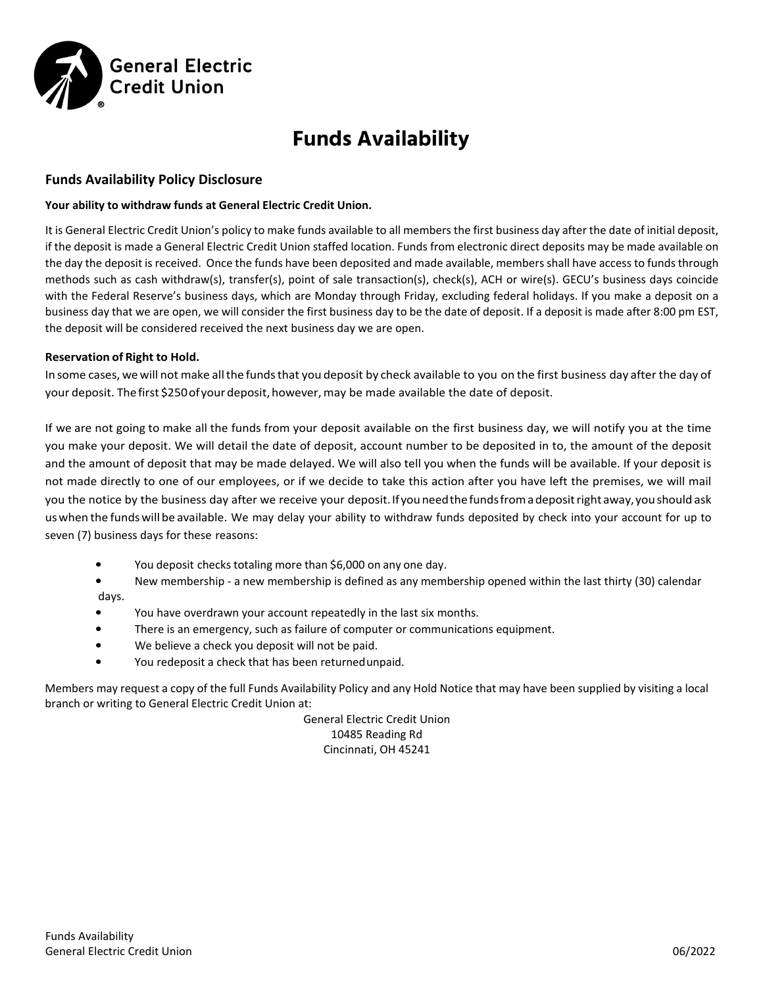

# **Funds Availability**

#### **Funds Availability Policy Disclosure**

#### **Your ability to withdraw funds at General Electric Credit Union.**

It is General Electric Credit Union's policy to make funds available to all members the first business day after the date of initial deposit, if the deposit is made a General Electric Credit Union staffed location. Funds from electronic direct deposits may be made available on the day the deposit is received. Once the funds have been deposited and made available, members shall have access to funds through methods such as cash withdraw(s), transfer(s), point of sale transaction(s), check(s), ACH or wire(s). GECU's business days coincide with the Federal Reserve's business days, which are Monday through Friday, excluding federal holidays. If you make a deposit on a business day that we are open, we will consider the first business day to be the date of deposit. If a deposit is made after 8:00 pm EST, the deposit will be considered received the next business day we are open.

#### **Reservation of Right to Hold.**

In some cases, we will not make allthe fundsthat you deposit by check available to you on the first business day after the day of your deposit. The first \$250 of your deposit, however, may be made available the date of deposit.

If we are not going to make all the funds from your deposit available on the first business day, we will notify you at the time you make your deposit. We will detail the date of deposit, account number to be deposited in to, the amount of the deposit and the amount of deposit that may be made delayed. We will also tell you when the funds will be available. If your deposit is not made directly to one of our employees, or if we decide to take this action after you have left the premises, we will mail you the notice by the business day after we receive your deposit. If you need the funds from a deposit right away, you should ask uswhen the fundswill be available. We may delay your ability to withdraw funds deposited by check into your account for up to seven (7) business days for these reasons:

- You deposit checks totaling more than \$6,000 on any one day.
- New membership a new membership is defined as any membership opened within the last thirty (30) calendar days.
- You have overdrawn your account repeatedly in the last six months.
- There is an emergency, such as failure of computer or communications equipment.
- We believe a check you deposit will not be paid.
- You redeposit a check that has been returnedunpaid.

Members may request a copy of the full Funds Availability Policy and any Hold Notice that may have been supplied by visiting a local branch or writing to General Electric Credit Union at:

> General Electric Credit Union 10485 Reading Rd Cincinnati, OH 45241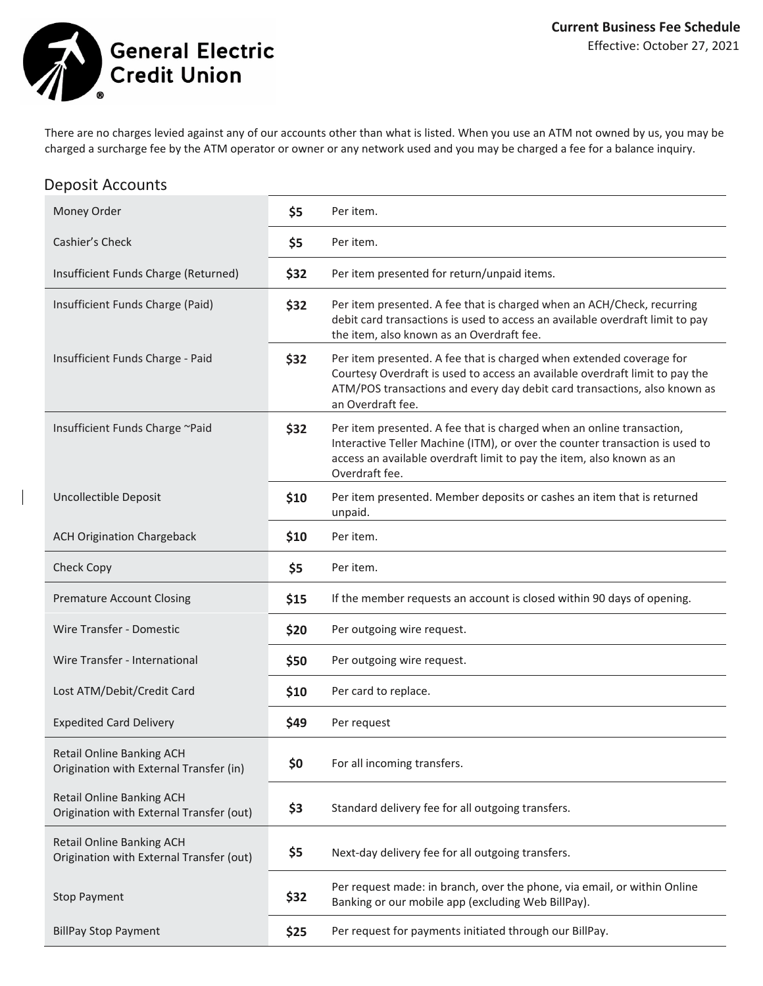**General Electric Credit Union** 

There are no charges levied against any of our accounts other than what is listed. When you use an ATM not owned by us, you may be charged a surcharge fee by the ATM operator or owner or any network used and you may be charged a fee for a balance inquiry.

### Deposit Accounts

| Money Order                                                                  | \$5  | Per item.                                                                                                                                                                                                                                              |
|------------------------------------------------------------------------------|------|--------------------------------------------------------------------------------------------------------------------------------------------------------------------------------------------------------------------------------------------------------|
| Cashier's Check                                                              | \$5  | Per item.                                                                                                                                                                                                                                              |
| Insufficient Funds Charge (Returned)                                         | \$32 | Per item presented for return/unpaid items.                                                                                                                                                                                                            |
| Insufficient Funds Charge (Paid)                                             | \$32 | Per item presented. A fee that is charged when an ACH/Check, recurring<br>debit card transactions is used to access an available overdraft limit to pay<br>the item, also known as an Overdraft fee.                                                   |
| Insufficient Funds Charge - Paid                                             | \$32 | Per item presented. A fee that is charged when extended coverage for<br>Courtesy Overdraft is used to access an available overdraft limit to pay the<br>ATM/POS transactions and every day debit card transactions, also known as<br>an Overdraft fee. |
| Insufficient Funds Charge ~Paid                                              | \$32 | Per item presented. A fee that is charged when an online transaction,<br>Interactive Teller Machine (ITM), or over the counter transaction is used to<br>access an available overdraft limit to pay the item, also known as an<br>Overdraft fee.       |
| Uncollectible Deposit                                                        | \$10 | Per item presented. Member deposits or cashes an item that is returned<br>unpaid.                                                                                                                                                                      |
| <b>ACH Origination Chargeback</b>                                            | \$10 | Per item.                                                                                                                                                                                                                                              |
| <b>Check Copy</b>                                                            | \$5  | Per item.                                                                                                                                                                                                                                              |
| <b>Premature Account Closing</b>                                             | \$15 | If the member requests an account is closed within 90 days of opening.                                                                                                                                                                                 |
| Wire Transfer - Domestic                                                     | \$20 | Per outgoing wire request.                                                                                                                                                                                                                             |
| Wire Transfer - International                                                | \$50 | Per outgoing wire request.                                                                                                                                                                                                                             |
| Lost ATM/Debit/Credit Card                                                   | \$10 | Per card to replace.                                                                                                                                                                                                                                   |
| <b>Expedited Card Delivery</b>                                               | \$49 | Per request                                                                                                                                                                                                                                            |
| Retail Online Banking ACH<br>Origination with External Transfer (in)         | \$0  | For all incoming transfers.                                                                                                                                                                                                                            |
| Retail Online Banking ACH<br>Origination with External Transfer (out)        | \$3  | Standard delivery fee for all outgoing transfers.                                                                                                                                                                                                      |
| <b>Retail Online Banking ACH</b><br>Origination with External Transfer (out) | \$5  | Next-day delivery fee for all outgoing transfers.                                                                                                                                                                                                      |
| <b>Stop Payment</b>                                                          | \$32 | Per request made: in branch, over the phone, via email, or within Online<br>Banking or our mobile app (excluding Web BillPay).                                                                                                                         |
| <b>BillPay Stop Payment</b>                                                  | \$25 | Per request for payments initiated through our BillPay.                                                                                                                                                                                                |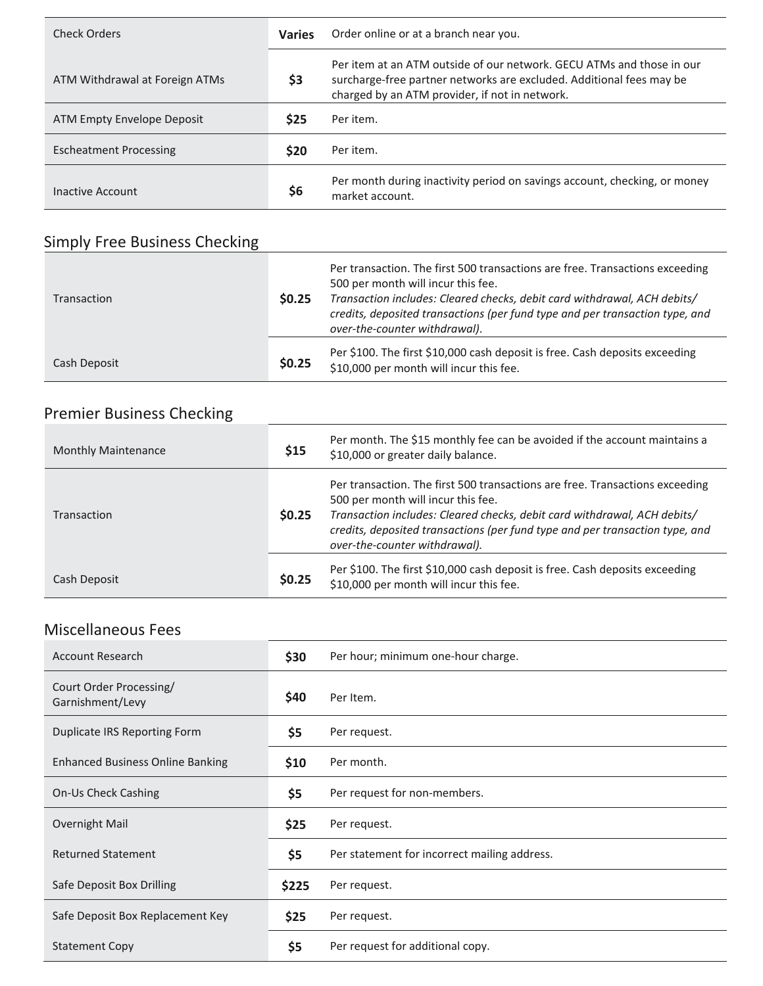| Check Orders                   | <b>Varies</b> | Order online or at a branch near you.                                                                                                                                                           |
|--------------------------------|---------------|-------------------------------------------------------------------------------------------------------------------------------------------------------------------------------------------------|
| ATM Withdrawal at Foreign ATMs | \$3           | Per item at an ATM outside of our network. GECU ATMs and those in our<br>surcharge-free partner networks are excluded. Additional fees may be<br>charged by an ATM provider, if not in network. |
| ATM Empty Envelope Deposit     | <b>S25</b>    | Per item.                                                                                                                                                                                       |
| <b>Escheatment Processing</b>  | <b>S20</b>    | Per item.                                                                                                                                                                                       |
| Inactive Account               | \$6           | Per month during inactivity period on savings account, checking, or money<br>market account.                                                                                                    |

## Simply Free Business Checking

| Transaction  | \$0.25 | Per transaction. The first 500 transactions are free. Transactions exceeding<br>500 per month will incur this fee.<br>Transaction includes: Cleared checks, debit card withdrawal, ACH debits/<br>credits, deposited transactions (per fund type and per transaction type, and<br>over-the-counter withdrawal). |
|--------------|--------|-----------------------------------------------------------------------------------------------------------------------------------------------------------------------------------------------------------------------------------------------------------------------------------------------------------------|
| Cash Deposit | \$0.25 | Per \$100. The first \$10,000 cash deposit is free. Cash deposits exceeding<br>\$10,000 per month will incur this fee.                                                                                                                                                                                          |

# Premier Business Checking

| <b>Monthly Maintenance</b> | \$15   | Per month. The \$15 monthly fee can be avoided if the account maintains a<br>\$10,000 or greater daily balance.                                                                                                                                                                                                 |
|----------------------------|--------|-----------------------------------------------------------------------------------------------------------------------------------------------------------------------------------------------------------------------------------------------------------------------------------------------------------------|
| Transaction                | \$0.25 | Per transaction. The first 500 transactions are free. Transactions exceeding<br>500 per month will incur this fee.<br>Transaction includes: Cleared checks, debit card withdrawal, ACH debits/<br>credits, deposited transactions (per fund type and per transaction type, and<br>over-the-counter withdrawal). |
| Cash Deposit               | \$0.25 | Per \$100. The first \$10,000 cash deposit is free. Cash deposits exceeding<br>\$10,000 per month will incur this fee.                                                                                                                                                                                          |

### Miscellaneous Fees

| iviiscellaneous Fees                        |       |                                              |
|---------------------------------------------|-------|----------------------------------------------|
| <b>Account Research</b>                     | \$30  | Per hour; minimum one-hour charge.           |
| Court Order Processing/<br>Garnishment/Levy | \$40  | Per Item.                                    |
| Duplicate IRS Reporting Form                | \$5   | Per request.                                 |
| <b>Enhanced Business Online Banking</b>     | \$10  | Per month.                                   |
| On-Us Check Cashing                         | \$5   | Per request for non-members.                 |
| <b>Overnight Mail</b>                       | \$25  | Per request.                                 |
| <b>Returned Statement</b>                   | \$5   | Per statement for incorrect mailing address. |
| Safe Deposit Box Drilling                   | \$225 | Per request.                                 |
| Safe Deposit Box Replacement Key            | \$25  | Per request.                                 |
| <b>Statement Copy</b>                       | \$5   | Per request for additional copy.             |